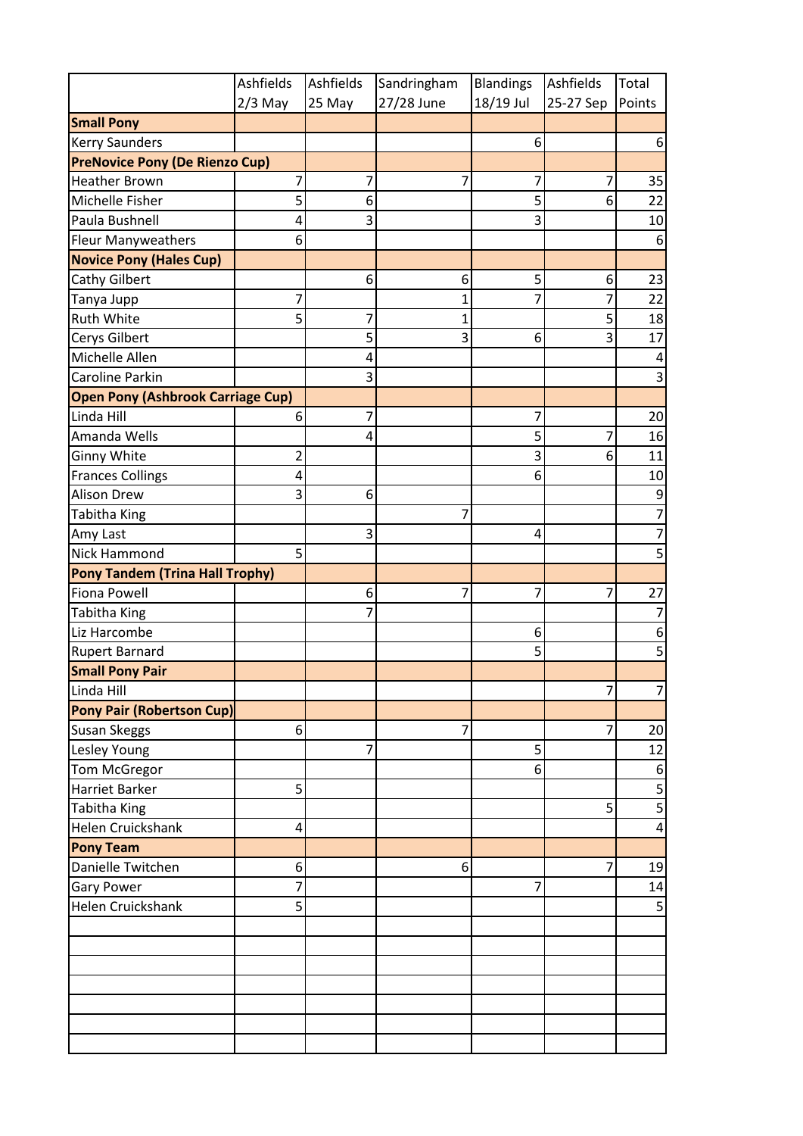|                                          | Ashfields        | Ashfields | Sandringham    | <b>Blandings</b> | Ashfields      | Total          |
|------------------------------------------|------------------|-----------|----------------|------------------|----------------|----------------|
|                                          | $2/3$ May        | 25 May    | 27/28 June     | 18/19 Jul        | 25-27 Sep      | Points         |
| <b>Small Pony</b>                        |                  |           |                |                  |                |                |
| <b>Kerry Saunders</b>                    |                  |           |                | 6                |                | 6 <sup>1</sup> |
| <b>PreNovice Pony (De Rienzo Cup)</b>    |                  |           |                |                  |                |                |
| <b>Heather Brown</b>                     | 7                | 7         | 7              | 7                | 7              | 35             |
| Michelle Fisher                          | 5                | 6         |                | 5                | 6              | 22             |
| Paula Bushnell                           | 4                | 3         |                | 3                |                | 10             |
| <b>Fleur Manyweathers</b>                | 6                |           |                |                  |                | $6 \mid$       |
| <b>Novice Pony (Hales Cup)</b>           |                  |           |                |                  |                |                |
| <b>Cathy Gilbert</b>                     |                  | 6         | 6              | 5                | 6              | 23             |
| Tanya Jupp                               | 7                |           | 1              | 7                | 7              | 22             |
| <b>Ruth White</b>                        | 5                | 7         | $\mathbf 1$    |                  | 5              | 18             |
| Cerys Gilbert                            |                  | 5         | 3              | 6                | 3              | 17             |
| Michelle Allen                           |                  | 4         |                |                  |                | 4              |
| <b>Caroline Parkin</b>                   |                  | 3         |                |                  |                | 3              |
| <b>Open Pony (Ashbrook Carriage Cup)</b> |                  |           |                |                  |                |                |
| Linda Hill                               | 6                | 7         |                | 7                |                | 20             |
| Amanda Wells                             |                  | 4         |                | 5                | $\overline{7}$ | 16             |
| <b>Ginny White</b>                       | 2                |           |                | 3                | 6              | 11             |
| <b>Frances Collings</b>                  | 4                |           |                | 6                |                | 10             |
| <b>Alison Drew</b>                       | 3                | 6         |                |                  |                | 9              |
| <b>Tabitha King</b>                      |                  |           | 7              |                  |                | 7              |
| Amy Last                                 |                  | 3         |                | $\overline{4}$   |                | 7              |
| Nick Hammond                             | 5                |           |                |                  |                | 5              |
| <b>Pony Tandem (Trina Hall Trophy)</b>   |                  |           |                |                  |                |                |
| <b>Fiona Powell</b>                      |                  | 6         | 7              | 7                | $\overline{7}$ | 27             |
| <b>Tabitha King</b>                      |                  | 7         |                |                  |                | 7              |
| Liz Harcombe                             |                  |           |                | 6                |                | 6              |
| <b>Rupert Barnard</b>                    |                  |           |                | 5                |                | 5              |
| <b>Small Pony Pair</b>                   |                  |           |                |                  |                |                |
| Linda Hill                               |                  |           |                |                  | $\overline{7}$ | $7\vert$       |
| <b>Pony Pair (Robertson Cup)</b>         |                  |           |                |                  |                |                |
| Susan Skeggs                             | $6 \overline{6}$ |           | $\overline{7}$ |                  | 7              | 20             |
| Lesley Young                             |                  | 7         |                | 5                |                | 12             |
| Tom McGregor                             |                  |           |                | 6                |                | 6              |
| <b>Harriet Barker</b>                    | 5                |           |                |                  |                | 5              |
| Tabitha King                             |                  |           |                |                  | 5              | $\overline{5}$ |
| Helen Cruickshank                        | 4                |           |                |                  |                | 4              |
| <b>Pony Team</b>                         |                  |           |                |                  |                |                |
| Danielle Twitchen                        | 6 <sup>1</sup>   |           | 6 <sup>1</sup> |                  | $\overline{7}$ | 19             |
| <b>Gary Power</b>                        | 7                |           |                | 7                |                | 14             |
| Helen Cruickshank                        | 5                |           |                |                  |                | 5              |
|                                          |                  |           |                |                  |                |                |
|                                          |                  |           |                |                  |                |                |
|                                          |                  |           |                |                  |                |                |
|                                          |                  |           |                |                  |                |                |
|                                          |                  |           |                |                  |                |                |
|                                          |                  |           |                |                  |                |                |
|                                          |                  |           |                |                  |                |                |